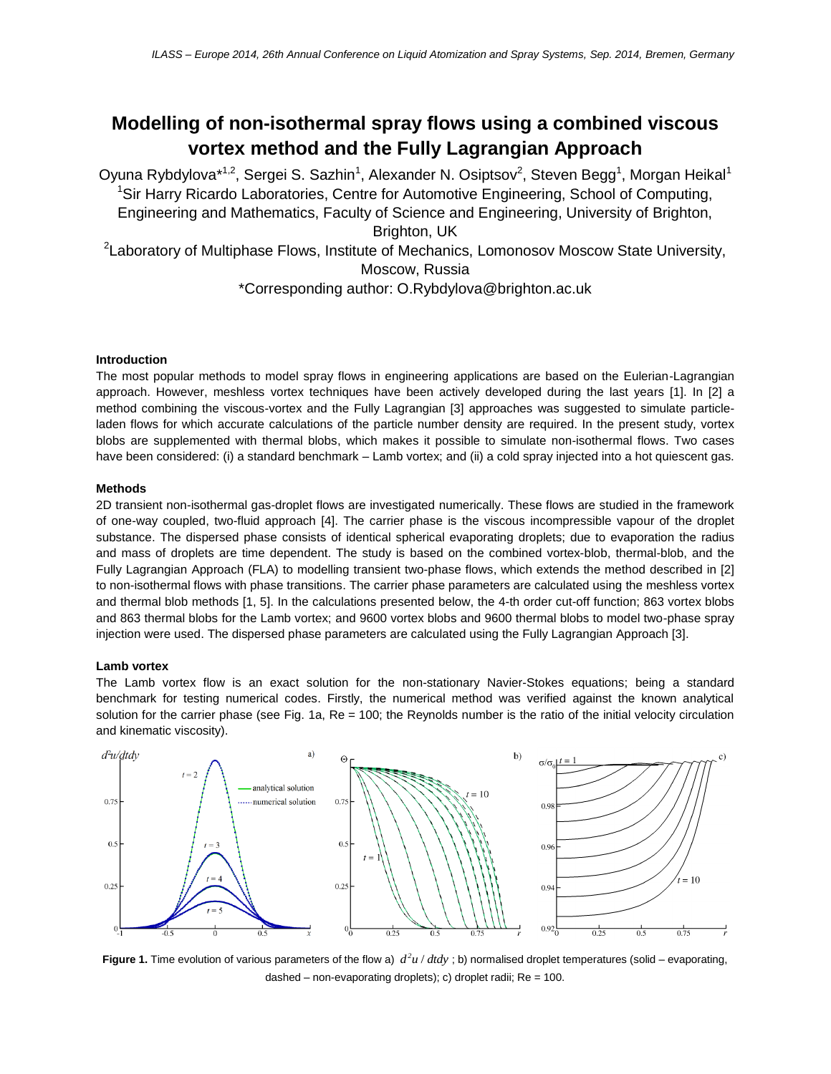# **Modelling of non-isothermal spray flows using a combined viscous vortex method and the Fully Lagrangian Approach**

Oyuna Rybdylova $^{\ast1,2}$ , Sergei S. Sazhin $^1$ , Alexander N. Osiptsov $^2$ , Steven Begg $^1$ , Morgan Heikal $^1$ <sup>1</sup>Sir Harry Ricardo Laboratories, Centre for Automotive Engineering, School of Computing, Engineering and Mathematics, Faculty of Science and Engineering, University of Brighton, Brighton, UK <sup>2</sup> Laboratory of Multiphase Flows, Institute of Mechanics, Lomonosov Moscow State University, Moscow, Russia \*Corresponding author: O.Rybdylova@brighton.ac.uk

# **Introduction**

The most popular methods to model spray flows in engineering applications are based on the Eulerian-Lagrangian approach. However, meshless vortex techniques have been actively developed during the last years [1]. In [2] a method combining the viscous-vortex and the Fully Lagrangian [3] approaches was suggested to simulate particleladen flows for which accurate calculations of the particle number density are required. In the present study, vortex blobs are supplemented with thermal blobs, which makes it possible to simulate non-isothermal flows. Two cases have been considered: (i) a standard benchmark – Lamb vortex; and (ii) a cold spray injected into a hot quiescent gas.

### **Methods**

2D transient non-isothermal gas-droplet flows are investigated numerically. These flows are studied in the framework of one-way coupled, two-fluid approach [4]. The carrier phase is the viscous incompressible vapour of the droplet substance. The dispersed phase consists of identical spherical evaporating droplets; due to evaporation the radius and mass of droplets are time dependent. The study is based on the combined vortex-blob, thermal-blob, and the Fully Lagrangian Approach (FLA) to modelling transient two-phase flows, which extends the method described in [2] to non-isothermal flows with phase transitions. The carrier phase parameters are calculated using the meshless vortex and thermal blob methods [1, 5]. In the calculations presented below, the 4-th order cut-off function; 863 vortex blobs and 863 thermal blobs for the Lamb vortex; and 9600 vortex blobs and 9600 thermal blobs to model two-phase spray injection were used. The dispersed phase parameters are calculated using the Fully Lagrangian Approach [3].

# **Lamb vortex**

The Lamb vortex flow is an exact solution for the non-stationary Navier-Stokes equations; being a standard benchmark for testing numerical codes. Firstly, the numerical method was verified against the known analytical solution for the carrier phase (see Fig. 1a,  $Re = 100$ ; the Reynolds number is the ratio of the initial velocity circulation and kinematic viscosity).



**Figure 1.** Time evolution of various parameters of the flow a)  $d^2u/dtdy$ ; b) normalised droplet temperatures (solid – evaporating, dashed – non-evaporating droplets); c) droplet radii; Re = 100.